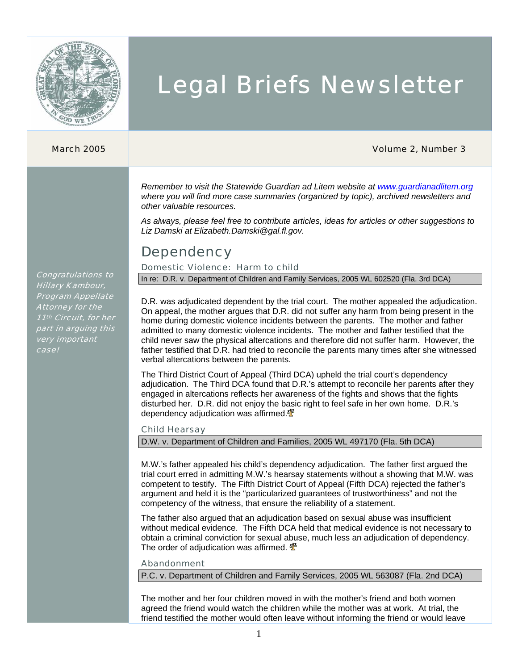

# Legal Briefs Newsletter

#### March 2005 Volume 2, Number 3

*Remember to visit the Statewide Guardian ad Litem website at www.guardianadlitem.org where you will find more case summaries (organized by topic), archived newsletters and other valuable resources.*

*As always, please feel free to contribute articles, ideas for articles or other suggestions to Liz Damski at Elizabeth.Damski@gal.fl.gov.* 

### **Dependency**

### Domestic Violence: Harm to child

In re: D.R. v. Department of Children and Family Services, 2005 WL 602520 (Fla. 3rd DCA)

D.R. was adjudicated dependent by the trial court. The mother appealed the adjudication. On appeal, the mother argues that D.R. did not suffer any harm from being present in the home during domestic violence incidents between the parents. The mother and father admitted to many domestic violence incidents. The mother and father testified that the child never saw the physical altercations and therefore did not suffer harm. However, the father testified that D.R. had tried to reconcile the parents many times after she witnessed verbal altercations between the parents.

The Third District Court of Appeal (Third DCA) upheld the trial court's dependency adjudication. The Third DCA found that D.R.'s attempt to reconcile her parents after they engaged in altercations reflects her awareness of the fights and shows that the fights disturbed her. D.R. did not enjoy the basic right to feel safe in her own home. D.R.'s dependency adjudication was affirmed. $\mathbf{\Phi}$ 

#### Child Hearsay

D.W. v. Department of Children and Families, 2005 WL 497170 (Fla. 5th DCA)

M.W.'s father appealed his child's dependency adjudication. The father first argued the trial court erred in admitting M.W.'s hearsay statements without a showing that M.W. was competent to testify. The Fifth District Court of Appeal (Fifth DCA) rejected the father's argument and held it is the "particularized guarantees of trustworthiness" and not the competency of the witness, that ensure the reliability of a statement.

The father also argued that an adjudication based on sexual abuse was insufficient without medical evidence. The Fifth DCA held that medical evidence is not necessary to obtain a criminal conviction for sexual abuse, much less an adjudication of dependency. The order of adjudication was affirmed.  $\mathbf{\Phi}$ 

#### Abandonment

P.C. v. Department of Children and Family Services, 2005 WL 563087 (Fla. 2nd DCA)

The mother and her four children moved in with the mother's friend and both women agreed the friend would watch the children while the mother was at work. At trial, the friend testified the mother would often leave without informing the friend or would leave

Congratulations to Hillary Kambour, Program Appellate Attorney for the 11<sup>th</sup> Circuit, for her part in arguing this very important case!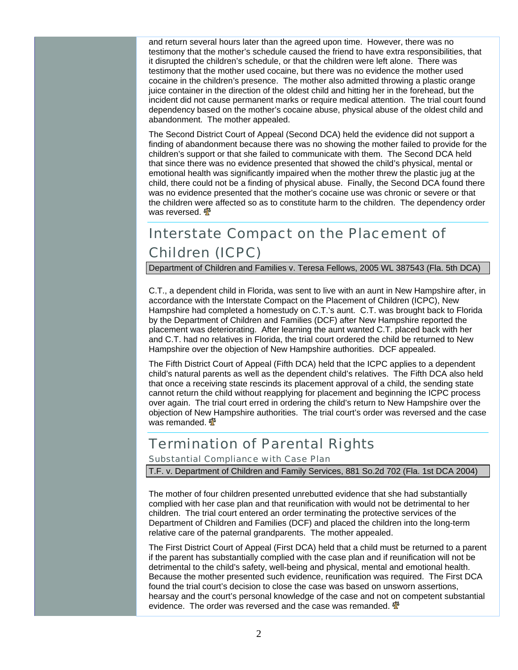and return several hours later than the agreed upon time. However, there was no testimony that the mother's schedule caused the friend to have extra responsibilities, that it disrupted the children's schedule, or that the children were left alone. There was testimony that the mother used cocaine, but there was no evidence the mother used cocaine in the children's presence. The mother also admitted throwing a plastic orange juice container in the direction of the oldest child and hitting her in the forehead, but the incident did not cause permanent marks or require medical attention. The trial court found dependency based on the mother's cocaine abuse, physical abuse of the oldest child and abandonment. The mother appealed.

The Second District Court of Appeal (Second DCA) held the evidence did not support a finding of abandonment because there was no showing the mother failed to provide for the children's support or that she failed to communicate with them. The Second DCA held that since there was no evidence presented that showed the child's physical, mental or emotional health was significantly impaired when the mother threw the plastic jug at the child, there could not be a finding of physical abuse. Finally, the Second DCA found there was no evidence presented that the mother's cocaine use was chronic or severe or that the children were affected so as to constitute harm to the children. The dependency order was reversed.  $\frac{d}{dt}$ 

## Interstate Compact on the Placement of Children (ICPC)

Department of Children and Families v. Teresa Fellows, 2005 WL 387543 (Fla. 5th DCA)

C.T., a dependent child in Florida, was sent to live with an aunt in New Hampshire after, in accordance with the Interstate Compact on the Placement of Children (ICPC), New Hampshire had completed a homestudy on C.T.'s aunt. C.T. was brought back to Florida by the Department of Children and Families (DCF) after New Hampshire reported the placement was deteriorating. After learning the aunt wanted C.T. placed back with her and C.T. had no relatives in Florida, the trial court ordered the child be returned to New Hampshire over the objection of New Hampshire authorities. DCF appealed.

The Fifth District Court of Appeal (Fifth DCA) held that the ICPC applies to a dependent child's natural parents as well as the dependent child's relatives. The Fifth DCA also held that once a receiving state rescinds its placement approval of a child, the sending state cannot return the child without reapplying for placement and beginning the ICPC process over again. The trial court erred in ordering the child's return to New Hampshire over the objection of New Hampshire authorities. The trial court's order was reversed and the case was remanded.  $\frac{d}{dx}$ 

### Termination of Parental Rights

Substantial Compliance with Case Plan

T.F. v. Department of Children and Family Services, 881 So.2d 702 (Fla. 1st DCA 2004)

The mother of four children presented unrebutted evidence that she had substantially complied with her case plan and that reunification with would not be detrimental to her children. The trial court entered an order terminating the protective services of the Department of Children and Families (DCF) and placed the children into the long-term relative care of the paternal grandparents. The mother appealed.

The First District Court of Appeal (First DCA) held that a child must be returned to a parent if the parent has substantially complied with the case plan and if reunification will not be detrimental to the child's safety, well-being and physical, mental and emotional health. Because the mother presented such evidence, reunification was required. The First DCA found the trial court's decision to close the case was based on unsworn assertions, hearsay and the court's personal knowledge of the case and not on competent substantial evidence. The order was reversed and the case was remanded.  $\Phi$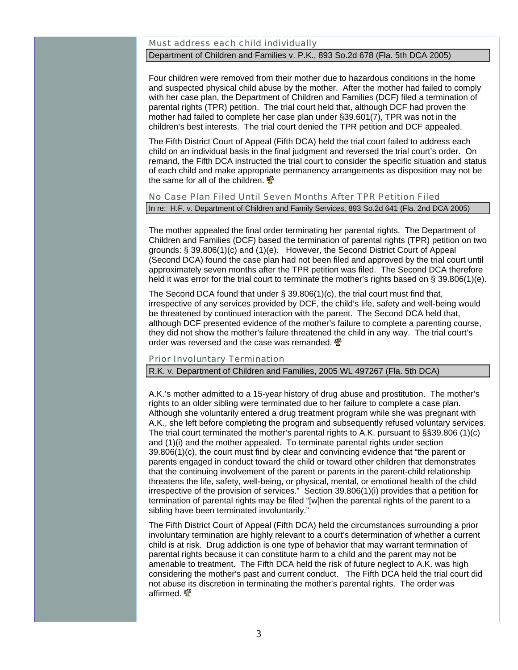#### Must address each child individually

#### Department of Children and Families v. P.K., 893 So.2d 678 (Fla. 5th DCA 2005)

Four children were removed from their mother due to hazardous conditions in the home and suspected physical child abuse by the mother. After the mother had failed to comply with her case plan, the Department of Children and Families (DCF) filed a termination of parental rights (TPR) petition. The trial court held that, although DCF had proven the mother had failed to complete her case plan under §39.601(7), TPR was not in the children's best interests. The trial court denied the TPR petition and DCF appealed.

The Fifth District Court of Appeal (Fifth DCA) held the trial court failed to address each child on an individual basis in the final judgment and reversed the trial court's order. On remand, the Fifth DCA instructed the trial court to consider the specific situation and status of each child and make appropriate permanency arrangements as disposition may not be the same for all of the children.  $\mathbf{\Phi}$ 

#### No Case Plan Filed Until Seven Months After TPR Petition Filed In re: H.F. v. Department of Children and Family Services, 893 So.2d 641 (Fla. 2nd DCA 2005)

The mother appealed the final order terminating her parental rights. The Department of Children and Families (DCF) based the termination of parental rights (TPR) petition on two grounds: § 39.806(1)(c) and (1)(e). However, the Second District Court of Appeal (Second DCA) found the case plan had not been filed and approved by the trial court until approximately seven months after the TPR petition was filed. The Second DCA therefore held it was error for the trial court to terminate the mother's rights based on § 39.806(1)(e).

The Second DCA found that under § 39.806(1)(c), the trial court must find that, irrespective of any services provided by DCF, the child's life, safety and well-being would be threatened by continued interaction with the parent. The Second DCA held that, although DCF presented evidence of the mother's failure to complete a parenting course, they did not show the mother's failure threatened the child in any way. The trial court's order was reversed and the case was remanded.  $\frac{4}{3}$ 

#### Prior Involuntary Termination

R.K. v. Department of Children and Families, 2005 WL 497267 (Fla. 5th DCA)

A.K.'s mother admitted to a 15-year history of drug abuse and prostitution. The mother's rights to an older sibling were terminated due to her failure to complete a case plan. Although she voluntarily entered a drug treatment program while she was pregnant with A.K., she left before completing the program and subsequently refused voluntary services. The trial court terminated the mother's parental rights to A.K. pursuant to §§39.806 (1)(c) and (1)(i) and the mother appealed. To terminate parental rights under section 39.806(1)(c), the court must find by clear and convincing evidence that "the parent or parents engaged in conduct toward the child or toward other children that demonstrates that the continuing involvement of the parent or parents in the parent-child relationship threatens the life, safety, well-being, or physical, mental, or emotional health of the child irrespective of the provision of services." Section 39.806(1)(i) provides that a petition for termination of parental rights may be filed "[w]hen the parental rights of the parent to a sibling have been terminated involuntarily."

The Fifth District Court of Appeal (Fifth DCA) held the circumstances surrounding a prior involuntary termination are highly relevant to a court's determination of whether a current child is at risk. Drug addiction is one type of behavior that may warrant termination of parental rights because it can constitute harm to a child and the parent may not be amenable to treatment. The Fifth DCA held the risk of future neglect to A.K. was high considering the mother's past and current conduct. The Fifth DCA held the trial court did not abuse its discretion in terminating the mother's parental rights. The order was affirmed. **个**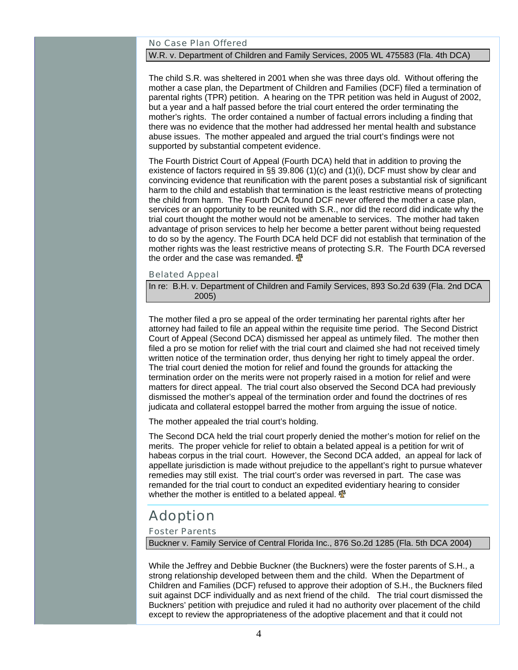#### No Case Plan Offered

#### W.R. v. Department of Children and Family Services, 2005 WL 475583 (Fla. 4th DCA)

The child S.R. was sheltered in 2001 when she was three days old. Without offering the mother a case plan, the Department of Children and Families (DCF) filed a termination of parental rights (TPR) petition. A hearing on the TPR petition was held in August of 2002, but a year and a half passed before the trial court entered the order terminating the mother's rights. The order contained a number of factual errors including a finding that there was no evidence that the mother had addressed her mental health and substance abuse issues. The mother appealed and argued the trial court's findings were not supported by substantial competent evidence.

The Fourth District Court of Appeal (Fourth DCA) held that in addition to proving the existence of factors required in §§ 39.806 (1)(c) and (1)(i), DCF must show by clear and convincing evidence that reunification with the parent poses a substantial risk of significant harm to the child and establish that termination is the least restrictive means of protecting the child from harm. The Fourth DCA found DCF never offered the mother a case plan, services or an opportunity to be reunited with S.R., nor did the record did indicate why the trial court thought the mother would not be amenable to services. The mother had taken advantage of prison services to help her become a better parent without being requested to do so by the agency. The Fourth DCA held DCF did not establish that termination of the mother rights was the least restrictive means of protecting S.R. The Fourth DCA reversed the order and the case was remanded.  $\mathbf{\Phi}$ 

#### Belated Appeal

In re: B.H. v. Department of Children and Family Services, 893 So.2d 639 (Fla. 2nd DCA 2005)

The mother filed a pro se appeal of the order terminating her parental rights after her attorney had failed to file an appeal within the requisite time period. The Second District Court of Appeal (Second DCA) dismissed her appeal as untimely filed. The mother then filed a pro se motion for relief with the trial court and claimed she had not received timely written notice of the termination order, thus denying her right to timely appeal the order. The trial court denied the motion for relief and found the grounds for attacking the termination order on the merits were not properly raised in a motion for relief and were matters for direct appeal. The trial court also observed the Second DCA had previously dismissed the mother's appeal of the termination order and found the doctrines of res judicata and collateral estoppel barred the mother from arguing the issue of notice.

The mother appealed the trial court's holding.

The Second DCA held the trial court properly denied the mother's motion for relief on the merits. The proper vehicle for relief to obtain a belated appeal is a petition for writ of habeas corpus in the trial court. However, the Second DCA added, an appeal for lack of appellate jurisdiction is made without prejudice to the appellant's right to pursue whatever remedies may still exist. The trial court's order was reversed in part. The case was remanded for the trial court to conduct an expedited evidentiary hearing to consider whether the mother is entitled to a belated appeal.  $\mathbf{\Phi}$ 

### Adoption

#### Foster Parents

Buckner v. Family Service of Central Florida Inc., 876 So.2d 1285 (Fla. 5th DCA 2004)

While the Jeffrey and Debbie Buckner (the Buckners) were the foster parents of S.H., a strong relationship developed between them and the child. When the Department of Children and Families (DCF) refused to approve their adoption of S.H., the Buckners filed suit against DCF individually and as next friend of the child. The trial court dismissed the Buckners' petition with prejudice and ruled it had no authority over placement of the child except to review the appropriateness of the adoptive placement and that it could not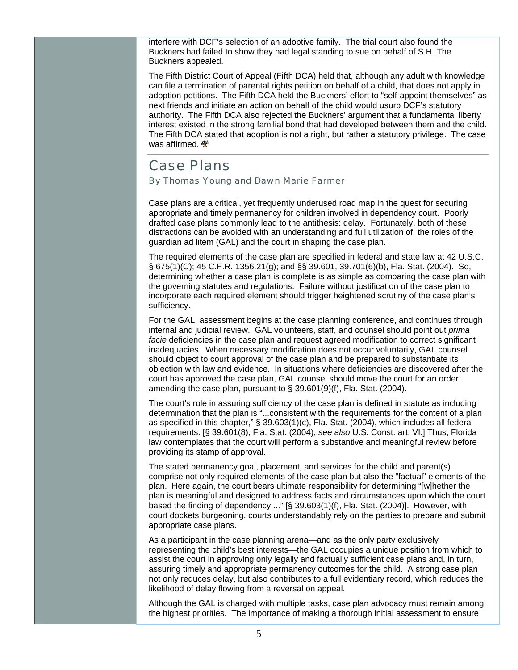interfere with DCF's selection of an adoptive family. The trial court also found the Buckners had failed to show they had legal standing to sue on behalf of S.H. The Buckners appealed.

The Fifth District Court of Appeal (Fifth DCA) held that, although any adult with knowledge can file a termination of parental rights petition on behalf of a child, that does not apply in adoption petitions. The Fifth DCA held the Buckners' effort to "self-appoint themselves" as next friends and initiate an action on behalf of the child would usurp DCF's statutory authority. The Fifth DCA also rejected the Buckners' argument that a fundamental liberty interest existed in the strong familial bond that had developed between them and the child. The Fifth DCA stated that adoption is not a right, but rather a statutory privilege. The case was affirmed.  $\mathbf{\Phi}$ 

### Case Plans

By Thomas Young and Dawn Marie Farmer

Case plans are a critical, yet frequently underused road map in the quest for securing appropriate and timely permanency for children involved in dependency court. Poorly drafted case plans commonly lead to the antithesis: delay. Fortunately, both of these distractions can be avoided with an understanding and full utilization of the roles of the guardian ad litem (GAL) and the court in shaping the case plan.

The required elements of the case plan are specified in federal and state law at 42 U.S.C. § 675(1)(C); 45 C.F.R. 1356.21(g); and §§ 39.601, 39.701(6)(b), Fla. Stat. (2004). So, determining whether a case plan is complete is as simple as comparing the case plan with the governing statutes and regulations. Failure without justification of the case plan to incorporate each required element should trigger heightened scrutiny of the case plan's sufficiency.

For the GAL, assessment begins at the case planning conference, and continues through internal and judicial review. GAL volunteers, staff, and counsel should point out *prima facie* deficiencies in the case plan and request agreed modification to correct significant inadequacies. When necessary modification does not occur voluntarily, GAL counsel should object to court approval of the case plan and be prepared to substantiate its objection with law and evidence. In situations where deficiencies are discovered after the court has approved the case plan, GAL counsel should move the court for an order amending the case plan, pursuant to § 39.601(9)(f), Fla. Stat. (2004).

The court's role in assuring sufficiency of the case plan is defined in statute as including determination that the plan is "...consistent with the requirements for the content of a plan as specified in this chapter," § 39.603(1)(c), Fla. Stat. (2004), which includes all federal requirements. [§ 39.601(8), Fla. Stat. (2004); *see also* U.S. Const. art. VI.] Thus, Florida law contemplates that the court will perform a substantive and meaningful review before providing its stamp of approval.

The stated permanency goal, placement, and services for the child and parent(s) comprise not only required elements of the case plan but also the "factual" elements of the plan. Here again, the court bears ultimate responsibility for determining "[w]hether the plan is meaningful and designed to address facts and circumstances upon which the court based the finding of dependency...." [§ 39.603(1)(f), Fla. Stat. (2004)]. However, with court dockets burgeoning, courts understandably rely on the parties to prepare and submit appropriate case plans.

As a participant in the case planning arena—and as the only party exclusively representing the child's best interests—the GAL occupies a unique position from which to assist the court in approving only legally and factually sufficient case plans and, in turn, assuring timely and appropriate permanency outcomes for the child. A strong case plan not only reduces delay, but also contributes to a full evidentiary record, which reduces the likelihood of delay flowing from a reversal on appeal.

Although the GAL is charged with multiple tasks, case plan advocacy must remain among the highest priorities. The importance of making a thorough initial assessment to ensure